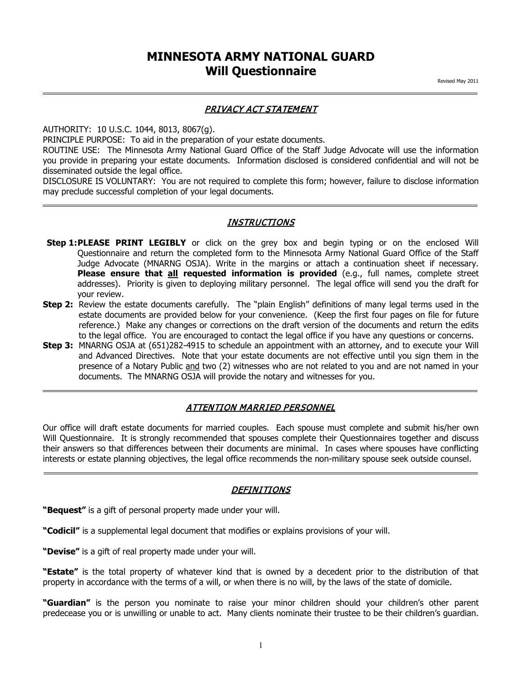## **MINNESOTA ARMY NATIONAL GUARD Will Questionnaire**

### PRIVACY ACT STATEMENT

AUTHORITY: 10 U.S.C. 1044, 8013, 8067(g).

PRINCIPLE PURPOSE: To aid in the preparation of your estate documents.

ROUTINE USE: The Minnesota Army National Guard Office of the Staff Judge Advocate will use the information you provide in preparing your estate documents. Information disclosed is considered confidential and will not be disseminated outside the legal office.

DISCLOSURE IS VOLUNTARY: You are not required to complete this form; however, failure to disclose information may preclude successful completion of your legal documents.

#### **INSTRUCTIONS**

- Step 1:PLEASE PRINT LEGIBLY or click on the grey box and begin typing or on the enclosed Will Questionnaire and return the completed form to the Minnesota Army National Guard Office of the Staff Judge Advocate (MNARNG OSJA). Write in the margins or attach a continuation sheet if necessary. **Please ensure that all requested information is provided** (e.g., full names, complete street addresses). Priority is given to deploying military personnel. The legal office will send you the draft for your review.
- **Step 2:** Review the estate documents carefully. The "plain English" definitions of many legal terms used in the estate documents are provided below for your convenience. (Keep the first four pages on file for future reference.) Make any changes or corrections on the draft version of the documents and return the edits to the legal office. You are encouraged to contact the legal office if you have any questions or concerns.
- **Step 3:** MNARNG OSJA at (651)282-4915 to schedule an appointment with an attorney, and to execute your Will and Advanced Directives. Note that your estate documents are not effective until you sign them in the presence of a Notary Public and two (2) witnesses who are not related to you and are not named in your documents. The MNARNG OSJA will provide the notary and witnesses for you.

#### ATTENTION MARRIED PERSONNEL

Our office will draft estate documents for married couples. Each spouse must complete and submit his/her own Will Questionnaire. It is strongly recommended that spouses complete their Questionnaires together and discuss their answers so that differences between their documents are minimal. In cases where spouses have conflicting interests or estate planning objectives, the legal office recommends the non-military spouse seek outside counsel.

#### **DEFINITIONS**

**"Bequest"** is a gift of personal property made under your will.

**"Codicil"** is a supplemental legal document that modifies or explains provisions of your will.

**"Devise"** is a gift of real property made under your will.

**"Estate"** is the total property of whatever kind that is owned by a decedent prior to the distribution of that property in accordance with the terms of a will, or when there is no will, by the laws of the state of domicile.

**"Guardian"** is the person you nominate to raise your minor children should your children's other parent predecease you or is unwilling or unable to act. Many clients nominate their trustee to be their children's guardian.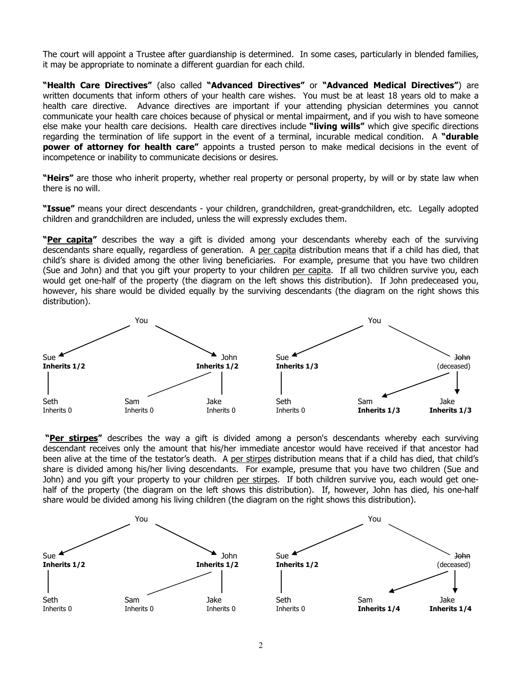The court will appoint a Trustee after guardianship is determined. In some cases, particularly in blended families, it may be appropriate to nominate a different guardian for each child.

**"Health Care Directives"** (also called **"Advanced Directives"** or **"Advanced Medical Directives"**) are written documents that inform others of your health care wishes. You must be at least 18 years old to make a health care directive. Advance directives are important if your attending physician determines you cannot communicate your health care choices because of physical or mental impairment, and if you wish to have someone else make your health care decisions. Health care directives include **"living wills"** which give specific directions regarding the termination of life support in the event of a terminal, incurable medical condition. A **"durable power of attorney for health care"** appoints a trusted person to make medical decisions in the event of incompetence or inability to communicate decisions or desires.

**"Heirs"** are those who inherit property, whether real property or personal property, by will or by state law when there is no will.

**"Issue"** means your direct descendants - your children, grandchildren, great-grandchildren, etc. Legally adopted children and grandchildren are included, unless the will expressly excludes them.

**"Per capita"** describes the way a gift is divided among your descendants whereby each of the surviving descendants share equally, regardless of generation. A per capita distribution means that if a child has died, that child's share is divided among the other living beneficiaries. For example, presume that you have two children (Sue and John) and that you gift your property to your children per capita. If all two children survive you, each would get one-half of the property (the diagram on the left shows this distribution). If John predeceased you, however, his share would be divided equally by the surviving descendants (the diagram on the right shows this distribution).



 **"Per stirpes"** describes the way a gift is divided among a person's descendants whereby each surviving descendant receives only the amount that his/her immediate ancestor would have received if that ancestor had been alive at the time of the testator's death. A per stirpes distribution means that if a child has died, that child's share is divided among his/her living descendants. For example, presume that you have two children (Sue and John) and you gift your property to your children per stirpes. If both children survive you, each would get onehalf of the property (the diagram on the left shows this distribution). If, however, John has died, his one-half share would be divided among his living children (the diagram on the right shows this distribution).

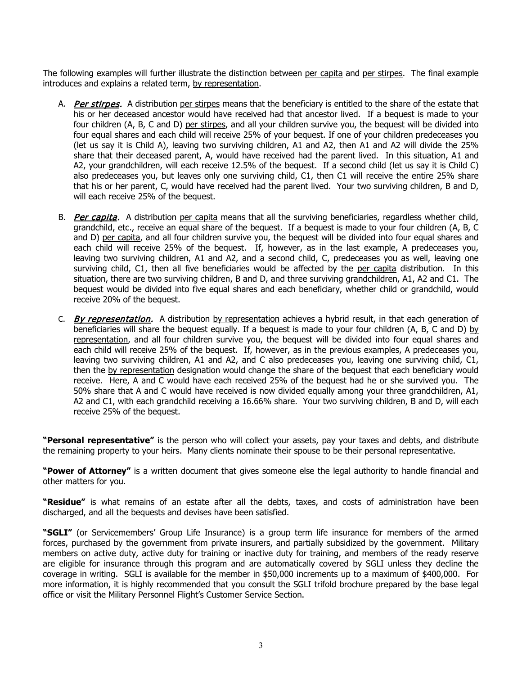The following examples will further illustrate the distinction between per capita and per stirpes. The final example introduces and explains a related term, by representation.

- A. Per stirpes. A distribution per stirpes means that the beneficiary is entitled to the share of the estate that his or her deceased ancestor would have received had that ancestor lived. If a bequest is made to your four children (A, B, C and D) per stirpes, and all your children survive you, the bequest will be divided into four equal shares and each child will receive 25% of your bequest. If one of your children predeceases you (let us say it is Child A), leaving two surviving children, A1 and A2, then A1 and A2 will divide the 25% share that their deceased parent, A, would have received had the parent lived. In this situation, A1 and A2, your grandchildren, will each receive 12.5% of the bequest. If a second child (let us say it is Child C) also predeceases you, but leaves only one surviving child, C1, then C1 will receive the entire 25% share that his or her parent, C, would have received had the parent lived. Your two surviving children, B and D, will each receive 25% of the bequest.
- B. Per capita. A distribution per capita means that all the surviving beneficiaries, regardless whether child, grandchild, etc., receive an equal share of the bequest. If a bequest is made to your four children (A, B, C and D) per capita, and all four children survive you, the bequest will be divided into four equal shares and each child will receive 25% of the bequest. If, however, as in the last example, A predeceases you, leaving two surviving children, A1 and A2, and a second child, C, predeceases you as well, leaving one surviving child, C1, then all five beneficiaries would be affected by the per capita distribution. In this situation, there are two surviving children, B and D, and three surviving grandchildren, A1, A2 and C1. The bequest would be divided into five equal shares and each beneficiary, whether child or grandchild, would receive 20% of the bequest.
- C. By representation. A distribution by representation achieves a hybrid result, in that each generation of beneficiaries will share the bequest equally. If a bequest is made to your four children (A, B, C and D) by representation, and all four children survive you, the bequest will be divided into four equal shares and each child will receive 25% of the bequest. If, however, as in the previous examples, A predeceases you, leaving two surviving children, A1 and A2, and C also predeceases you, leaving one surviving child, C1, then the by representation designation would change the share of the bequest that each beneficiary would receive. Here, A and C would have each received 25% of the bequest had he or she survived you. The 50% share that A and C would have received is now divided equally among your three grandchildren, A1, A2 and C1, with each grandchild receiving a 16.66% share. Your two surviving children, B and D, will each receive 25% of the bequest.

**"Personal representative"** is the person who will collect your assets, pay your taxes and debts, and distribute the remaining property to your heirs. Many clients nominate their spouse to be their personal representative.

**"Power of Attorney"** is a written document that gives someone else the legal authority to handle financial and other matters for you.

**"Residue"** is what remains of an estate after all the debts, taxes, and costs of administration have been discharged, and all the bequests and devises have been satisfied.

**"SGLI"** (or Servicemembers' Group Life Insurance) is a group term life insurance for members of the armed forces, purchased by the government from private insurers, and partially subsidized by the government. Military members on active duty, active duty for training or inactive duty for training, and members of the ready reserve are eligible for insurance through this program and are automatically covered by SGLI unless they decline the coverage in writing. SGLI is available for the member in \$50,000 increments up to a maximum of \$400,000. For more information, it is highly recommended that you consult the SGLI trifold brochure prepared by the base legal office or visit the Military Personnel Flight's Customer Service Section.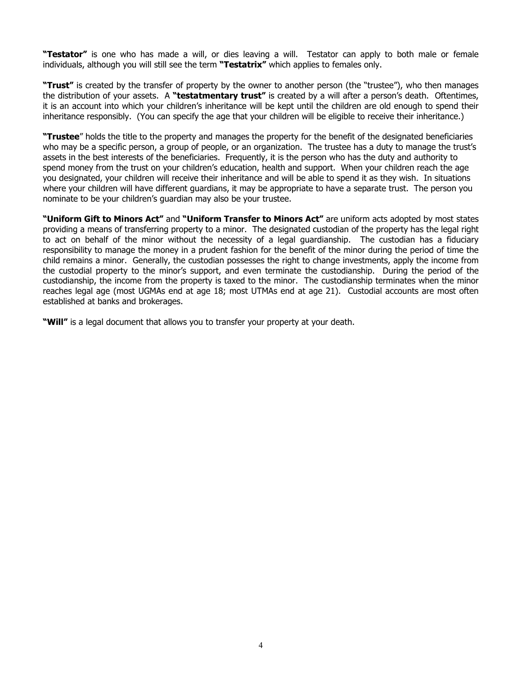**"Testator"** is one who has made a will, or dies leaving a will. Testator can apply to both male or female individuals, although you will still see the term **"Testatrix"** which applies to females only.

**"Trust"** is created by the transfer of property by the owner to another person (the "trustee"), who then manages the distribution of your assets. A **"testatmentary trust"** is created by a will after a person's death. Oftentimes, it is an account into which your children's inheritance will be kept until the children are old enough to spend their inheritance responsibly. (You can specify the age that your children will be eligible to receive their inheritance.)

**"Trustee**" holds the title to the property and manages the property for the benefit of the designated beneficiaries who may be a specific person, a group of people, or an organization. The trustee has a duty to manage the trust's assets in the best interests of the beneficiaries. Frequently, it is the person who has the duty and authority to spend money from the trust on your children's education, health and support. When your children reach the age you designated, your children will receive their inheritance and will be able to spend it as they wish. In situations where your children will have different guardians, it may be appropriate to have a separate trust. The person you nominate to be your children's guardian may also be your trustee.

**"Uniform Gift to Minors Act"** and **"Uniform Transfer to Minors Act"** are uniform acts adopted by most states providing a means of transferring property to a minor. The designated custodian of the property has the legal right to act on behalf of the minor without the necessity of a legal guardianship. The custodian has a fiduciary responsibility to manage the money in a prudent fashion for the benefit of the minor during the period of time the child remains a minor. Generally, the custodian possesses the right to change investments, apply the income from the custodial property to the minor's support, and even terminate the custodianship. During the period of the custodianship, the income from the property is taxed to the minor. The custodianship terminates when the minor reaches legal age (most UGMAs end at age 18; most UTMAs end at age 21). Custodial accounts are most often established at banks and brokerages.

**"Will"** is a legal document that allows you to transfer your property at your death.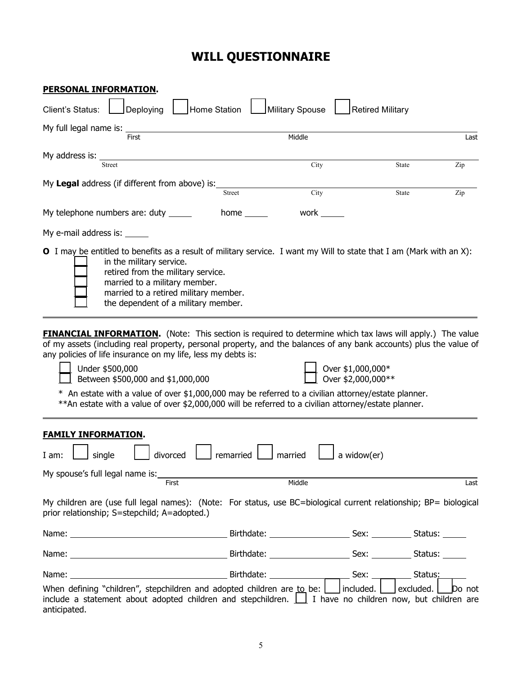# **WILL QUESTIONNAIRE**

| <u>PERSONAL INFORMATION.</u>                                                                                                                                                                                                                                                                                                          |               |                                         |                         |        |
|---------------------------------------------------------------------------------------------------------------------------------------------------------------------------------------------------------------------------------------------------------------------------------------------------------------------------------------|---------------|-----------------------------------------|-------------------------|--------|
| Client's Status:<br>Deploying                                                                                                                                                                                                                                                                                                         | Home Station  | Military Spouse                         | <b>Retired Military</b> |        |
| My full legal name is: _                                                                                                                                                                                                                                                                                                              |               |                                         |                         |        |
| First                                                                                                                                                                                                                                                                                                                                 |               | Middle                                  |                         | Last   |
| My address is:                                                                                                                                                                                                                                                                                                                        |               |                                         |                         |        |
| <b>Street</b>                                                                                                                                                                                                                                                                                                                         |               | City                                    | State                   | Zip    |
| My Legal address (if different from above) is:                                                                                                                                                                                                                                                                                        |               |                                         |                         |        |
|                                                                                                                                                                                                                                                                                                                                       | <b>Street</b> | City                                    | State                   | Zip    |
| My telephone numbers are: duty _____                                                                                                                                                                                                                                                                                                  | home $\_\_$   | work $\rule{1em}{0.15mm}$               |                         |        |
| My e-mail address is: ______                                                                                                                                                                                                                                                                                                          |               |                                         |                         |        |
| <b>O</b> I may be entitled to benefits as a result of military service. I want my Will to state that I am (Mark with an X):<br>in the military service.<br>retired from the military service.<br>married to a military member.<br>married to a retired military member.<br>the dependent of a military member.                        |               |                                         |                         |        |
| any policies of life insurance on my life, less my debts is:<br>Under \$500,000<br>Between \$500,000 and \$1,000,000<br>$*$ An estate with a value of over \$1,000,000 may be referred to a civilian attorney/estate planner.<br>**An estate with a value of over \$2,000,000 will be referred to a civilian attorney/estate planner. |               | Over \$1,000,000*<br>Over \$2,000,000** |                         |        |
| <b>FAMILY INFORMATION.</b>                                                                                                                                                                                                                                                                                                            |               |                                         |                         |        |
| divorced<br>single<br>I am:                                                                                                                                                                                                                                                                                                           | remarried     | a widow(er)<br>married                  |                         |        |
| My spouse's full legal name is:                                                                                                                                                                                                                                                                                                       |               |                                         |                         |        |
| <b>First</b>                                                                                                                                                                                                                                                                                                                          |               | Middle                                  |                         | Last   |
| My children are (use full legal names): (Note: For status, use BC=biological current relationship; BP= biological<br>prior relationship; S=stepchild; A=adopted.)                                                                                                                                                                     |               |                                         |                         |        |
|                                                                                                                                                                                                                                                                                                                                       |               |                                         |                         |        |
|                                                                                                                                                                                                                                                                                                                                       |               |                                         |                         |        |
|                                                                                                                                                                                                                                                                                                                                       |               |                                         |                         |        |
| When defining "children", stepchildren and adopted children are to be:     included.     excluded.  <br>include a statement about adopted children and stepchildren. $\boxed{\phantom{a}}$ I have no children now, but children are<br>anticipated.                                                                                   |               |                                         |                         | Do not |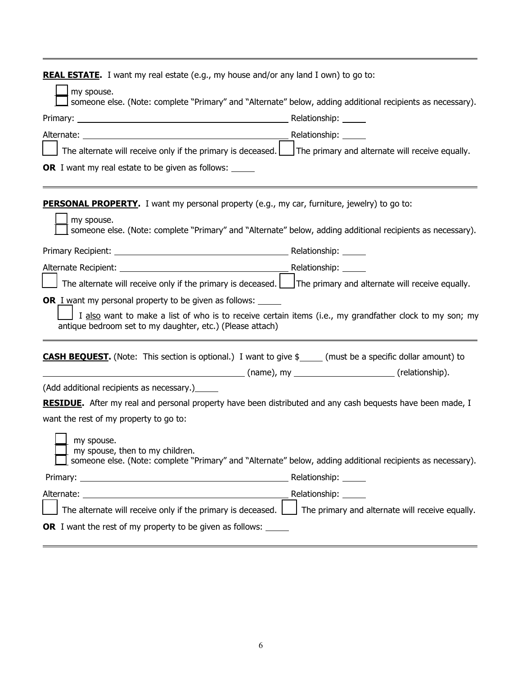| <b>REAL ESTATE.</b> I want my real estate (e.g., my house and/or any land I own) to go to:                                                                                                                                            |                                                 |
|---------------------------------------------------------------------------------------------------------------------------------------------------------------------------------------------------------------------------------------|-------------------------------------------------|
| my spouse.<br>someone else. (Note: complete "Primary" and "Alternate" below, adding additional recipients as necessary).                                                                                                              |                                                 |
|                                                                                                                                                                                                                                       |                                                 |
|                                                                                                                                                                                                                                       |                                                 |
|                                                                                                                                                                                                                                       |                                                 |
| The alternate will receive only if the primary is deceased. $\Box$ The primary and alternate will receive equally.                                                                                                                    |                                                 |
| OR I want my real estate to be given as follows: _____                                                                                                                                                                                |                                                 |
| <b>PERSONAL PROPERTY.</b> I want my personal property (e.g., my car, furniture, jewelry) to go to:<br>my spouse.<br>someone else. (Note: complete "Primary" and "Alternate" below, adding additional recipients as necessary).        |                                                 |
|                                                                                                                                                                                                                                       |                                                 |
|                                                                                                                                                                                                                                       |                                                 |
| The alternate will receive only if the primary is deceased. $\Box$ The primary and alternate will receive equally.                                                                                                                    |                                                 |
| <b>OR</b> I want my personal property to be given as follows:<br>I also want to make a list of who is to receive certain items (i.e., my grandfather clock to my son; my<br>antique bedroom set to my daughter, etc.) (Please attach) |                                                 |
| <b>CASH BEQUEST.</b> (Note: This section is optional.) I want to give \$_____ (must be a specific dollar amount) to                                                                                                                   |                                                 |
| (Add additional recipients as necessary.) [165]                                                                                                                                                                                       |                                                 |
| RESIDUE. After my real and personal property have been distributed and any cash bequests have been made, I                                                                                                                            |                                                 |
| want the rest of my property to go to:                                                                                                                                                                                                |                                                 |
| my spouse.<br>my spouse, then to my children.<br>someone else. (Note: complete "Primary" and "Alternate" below, adding additional recipients as necessary).                                                                           |                                                 |
|                                                                                                                                                                                                                                       |                                                 |
|                                                                                                                                                                                                                                       |                                                 |
| The alternate will receive only if the primary is deceased. $\boxed{\phantom{a}}$                                                                                                                                                     | The primary and alternate will receive equally. |
| OR I want the rest of my property to be given as follows: ___                                                                                                                                                                         |                                                 |

 $\blacksquare$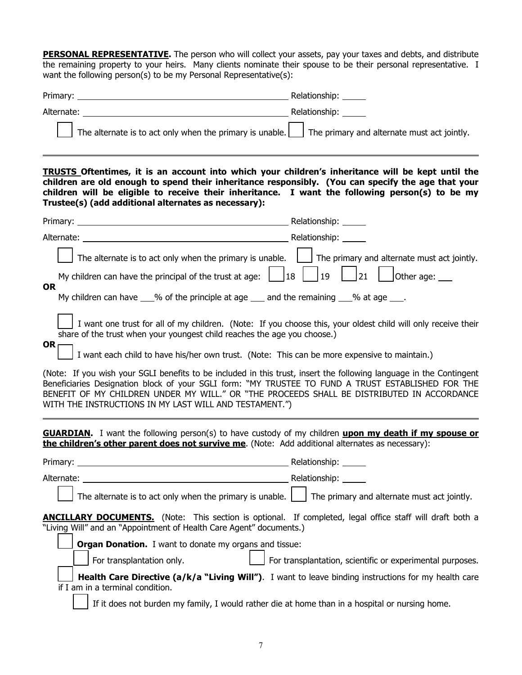**PERSONAL REPRESENTATIVE.** The person who will collect your assets, pay your taxes and debts, and distribute the remaining property to your heirs. Many clients nominate their spouse to be their personal representative. I want the following person(s) to be my Personal Representative(s):

| Primary:                                                                                                    | Relationship: |
|-------------------------------------------------------------------------------------------------------------|---------------|
| Alternate:                                                                                                  | Relationship: |
| The alternate is to act only when the primary is unable. $\Box$ The primary and alternate must act jointly. |               |

**TRUSTS Oftentimes, it is an account into which your children's inheritance will be kept until the children are old enough to spend their inheritance responsibly. (You can specify the age that your children will be eligible to receive their inheritance. I want the following person(s) to be my Trustee(s) (add additional alternates as necessary):**

| The alternate is to act only when the primary is unable.                                                                                                                                                                                                                                                                                                                                                                                                                                                                                                                                              | The primary and alternate must act jointly.                      |
|-------------------------------------------------------------------------------------------------------------------------------------------------------------------------------------------------------------------------------------------------------------------------------------------------------------------------------------------------------------------------------------------------------------------------------------------------------------------------------------------------------------------------------------------------------------------------------------------------------|------------------------------------------------------------------|
| My children can have the principal of the trust at age:                                                                                                                                                                                                                                                                                                                                                                                                                                                                                                                                               | 21<br>19<br>Other age:<br> 18                                    |
| <b>OR</b><br>My children can have 1% of the principle at age 1 and the remaining 1% of age 1.                                                                                                                                                                                                                                                                                                                                                                                                                                                                                                         |                                                                  |
| I want one trust for all of my children. (Note: If you choose this, your oldest child will only receive their<br>share of the trust when your youngest child reaches the age you choose.)<br><b>OR</b>                                                                                                                                                                                                                                                                                                                                                                                                |                                                                  |
| I want each child to have his/her own trust. (Note: This can be more expensive to maintain.)                                                                                                                                                                                                                                                                                                                                                                                                                                                                                                          |                                                                  |
| (Note: If you wish your SGLI benefits to be included in this trust, insert the following language in the Contingent<br>Beneficiaries Designation block of your SGLI form: "MY TRUSTEE TO FUND A TRUST ESTABLISHED FOR THE<br>BENEFIT OF MY CHILDREN UNDER MY WILL." OR "THE PROCEEDS SHALL BE DISTRIBUTED IN ACCORDANCE<br>WITH THE INSTRUCTIONS IN MY LAST WILL AND TESTAMENT.")<br><b>GUARDIAN.</b> I want the following person(s) to have custody of my children upon my death if my spouse or<br>the children's other parent does not survive me. (Note: Add additional alternates as necessary): |                                                                  |
| Primary: Nelationship: Nelationship: Nelationship: Nelationship: Nelationship: Nelationship: Nelationship: Nel                                                                                                                                                                                                                                                                                                                                                                                                                                                                                        |                                                                  |
| Alternate: National Alternate: National Alternate: National Alternate: National Alternate: National Alternation                                                                                                                                                                                                                                                                                                                                                                                                                                                                                       |                                                                  |
| The alternate is to act only when the primary is unable. $\Box$ The primary and alternate must act jointly.                                                                                                                                                                                                                                                                                                                                                                                                                                                                                           |                                                                  |
| <b>ANCILLARY DOCUMENTS.</b> (Note: This section is optional. If completed, legal office staff will draft both a<br>"Living Will" and an "Appointment of Health Care Agent" documents.)                                                                                                                                                                                                                                                                                                                                                                                                                |                                                                  |
| <b>Organ Donation.</b> I want to donate my organs and tissue:                                                                                                                                                                                                                                                                                                                                                                                                                                                                                                                                         |                                                                  |
| For transplantation only.                                                                                                                                                                                                                                                                                                                                                                                                                                                                                                                                                                             | $\Box$ For transplantation, scientific or experimental purposes. |
| Health Care Directive (a/k/a "Living Will"). I want to leave binding instructions for my health care<br>if I am in a terminal condition.                                                                                                                                                                                                                                                                                                                                                                                                                                                              |                                                                  |
| If it does not burden my family, I would rather die at home than in a hospital or nursing home.                                                                                                                                                                                                                                                                                                                                                                                                                                                                                                       |                                                                  |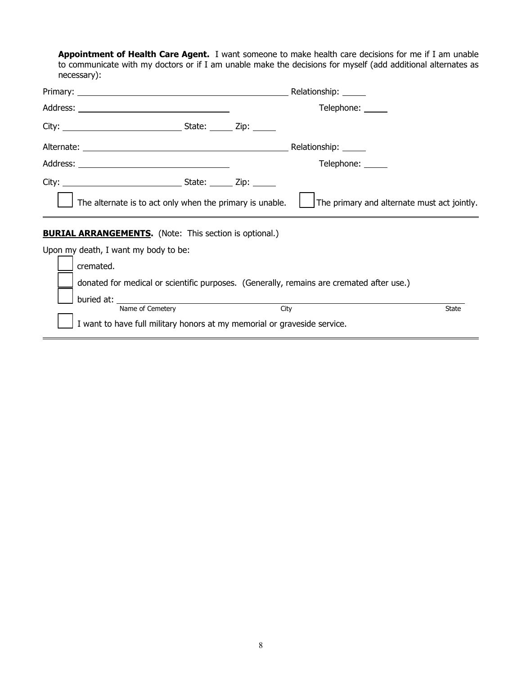**Appointment of Health Care Agent.** I want someone to make health care decisions for me if I am unable to communicate with my doctors or if I am unable make the decisions for myself (add additional alternates as necessary):

|                                                                                              |      | Relationship: ______                        |              |
|----------------------------------------------------------------------------------------------|------|---------------------------------------------|--------------|
|                                                                                              |      | Telephone: _____                            |              |
|                                                                                              |      |                                             |              |
|                                                                                              |      | Relationship: ______                        |              |
|                                                                                              |      | Telephone: ______                           |              |
|                                                                                              |      |                                             |              |
| The alternate is to act only when the primary is unable.                                     |      | The primary and alternate must act jointly. |              |
| <b>BURIAL ARRANGEMENTS.</b> (Note: This section is optional.)                                |      |                                             |              |
| Upon my death, I want my body to be:                                                         |      |                                             |              |
| cremated.                                                                                    |      |                                             |              |
| donated for medical or scientific purposes. (Generally, remains are cremated after use.)     |      |                                             |              |
| buried at:                                                                                   |      |                                             |              |
| Name of Cemetery<br>I want to have full military honors at my memorial or graveside service. | City |                                             | <b>State</b> |
|                                                                                              |      |                                             |              |